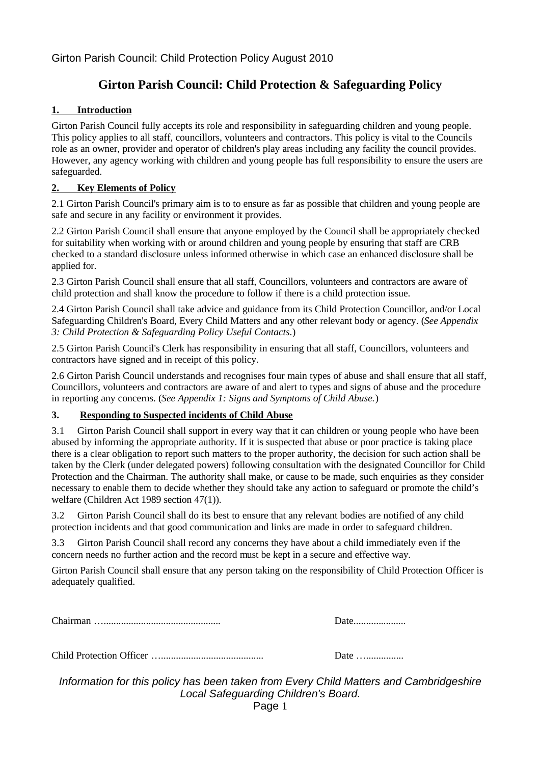# **Girton Parish Council: Child Protection & Safeguarding Policy**

#### **1. Introduction**

Girton Parish Council fully accepts its role and responsibility in safeguarding children and young people. This policy applies to all staff, councillors, volunteers and contractors. This policy is vital to the Councils role as an owner, provider and operator of children's play areas including any facility the council provides. However, any agency working with children and young people has full responsibility to ensure the users are safeguarded.

## **2. Key Elements of Policy**

2.1 Girton Parish Council's primary aim is to to ensure as far as possible that children and young people are safe and secure in any facility or environment it provides.

2.2 Girton Parish Council shall ensure that anyone employed by the Council shall be appropriately checked for suitability when working with or around children and young people by ensuring that staff are CRB checked to a standard disclosure unless informed otherwise in which case an enhanced disclosure shall be applied for.

2.3 Girton Parish Council shall ensure that all staff, Councillors, volunteers and contractors are aware of child protection and shall know the procedure to follow if there is a child protection issue.

2.4 Girton Parish Council shall take advice and guidance from its Child Protection Councillor, and/or Local Safeguarding Children's Board, Every Child Matters and any other relevant body or agency. (*See Appendix 3: Child Protection & Safeguarding Policy Useful Contacts*.)

2.5 Girton Parish Council's Clerk has responsibility in ensuring that all staff, Councillors, volunteers and contractors have signed and in receipt of this policy.

2.6 Girton Parish Council understands and recognises four main types of abuse and shall ensure that all staff, Councillors, volunteers and contractors are aware of and alert to types and signs of abuse and the procedure in reporting any concerns. (*See Appendix 1: Signs and Symptoms of Child Abuse.*)

### **3. Responding to Suspected incidents of Child Abuse**

3.1 Girton Parish Council shall support in every way that it can children or young people who have been abused by informing the appropriate authority. If it is suspected that abuse or poor practice is taking place there is a clear obligation to report such matters to the proper authority, the decision for such action shall be taken by the Clerk (under delegated powers) following consultation with the designated Councillor for Child Protection and the Chairman. The authority shall make, or cause to be made, such enquiries as they consider necessary to enable them to decide whether they should take any action to safeguard or promote the child's welfare (Children Act 1989 section 47(1)).

3.2 Girton Parish Council shall do its best to ensure that any relevant bodies are notified of any child protection incidents and that good communication and links are made in order to safeguard children.

3.3 Girton Parish Council shall record any concerns they have about a child immediately even if the concern needs no further action and the record must be kept in a secure and effective way.

Girton Parish Council shall ensure that any person taking on the responsibility of Child Protection Officer is adequately qualified.

Chairman …............................................... Date.....................

Child Protection Officer …......................................... Date …...............

*Information for this policy has been taken from Every Child Matters and Cambridgeshire Local Safeguarding Children's Board.*

Page 1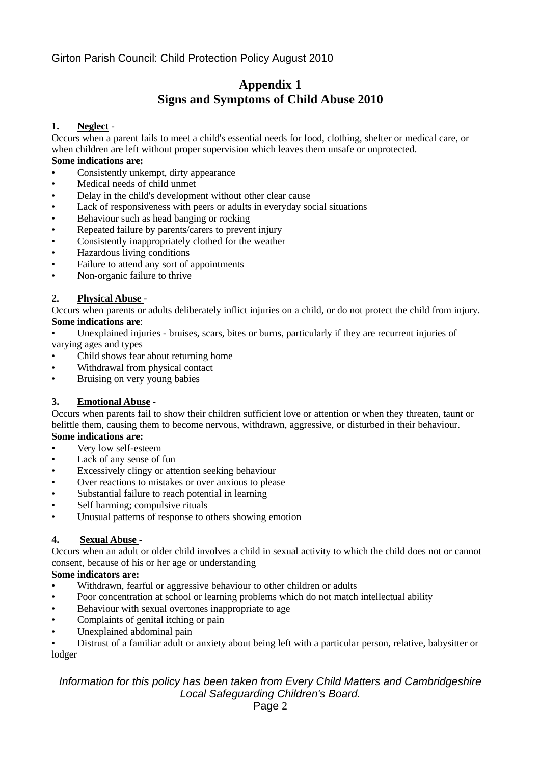# **Appendix 1 Signs and Symptoms of Child Abuse 2010**

#### **1. Neglect** -

Occurs when a parent fails to meet a child's essential needs for food, clothing, shelter or medical care, or when children are left without proper supervision which leaves them unsafe or unprotected.

#### **Some indications are:**

- **•** Consistently unkempt, dirty appearance
- Medical needs of child unmet
- Delay in the child's development without other clear cause
- Lack of responsiveness with peers or adults in everyday social situations
- Behaviour such as head banging or rocking
- Repeated failure by parents/carers to prevent injury
- Consistently inappropriately clothed for the weather
- Hazardous living conditions
- Failure to attend any sort of appointments
- Non-organic failure to thrive

### **2. Physical Abuse** -

Occurs when parents or adults deliberately inflict injuries on a child, or do not protect the child from injury. **Some indications are**:

• Unexplained injuries - bruises, scars, bites or burns, particularly if they are recurrent injuries of varying ages and types

- Child shows fear about returning home
- Withdrawal from physical contact
- Bruising on very young babies

### **3. Emotional Abuse** -

Occurs when parents fail to show their children sufficient love or attention or when they threaten, taunt or belittle them, causing them to become nervous, withdrawn, aggressive, or disturbed in their behaviour.

## **Some indications are:**

- **•** Very low self-esteem
- Lack of any sense of fun
- Excessively clingy or attention seeking behaviour
- Over reactions to mistakes or over anxious to please
- Substantial failure to reach potential in learning
- Self harming; compulsive rituals
- Unusual patterns of response to others showing emotion

### **4. Sexual Abuse** -

Occurs when an adult or older child involves a child in sexual activity to which the child does not or cannot consent, because of his or her age or understanding

#### **Some indicators are:**

- **•** Withdrawn, fearful or aggressive behaviour to other children or adults
- Poor concentration at school or learning problems which do not match intellectual ability
- Behaviour with sexual overtones inappropriate to age
- Complaints of genital itching or pain
- Unexplained abdominal pain

• Distrust of a familiar adult or anxiety about being left with a particular person, relative, babysitter or lodger

## *Information for this policy has been taken from Every Child Matters and Cambridgeshire Local Safeguarding Children's Board.*

Page 2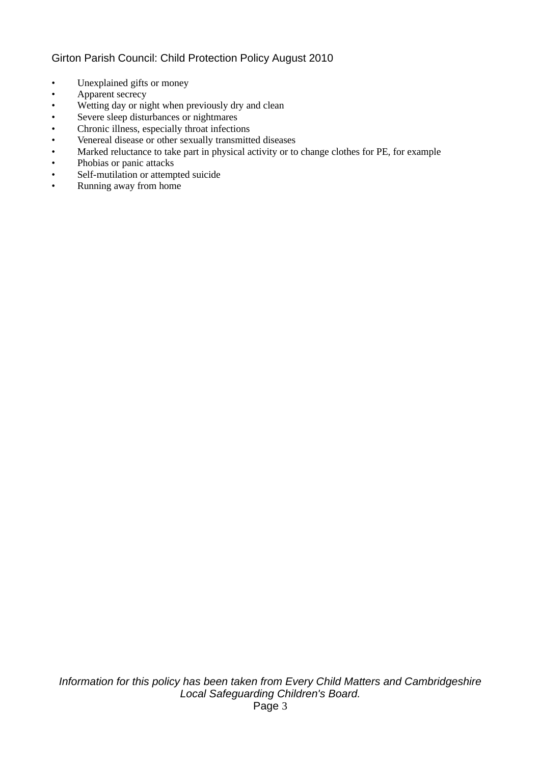- Unexplained gifts or money
- Apparent secrecy
- Wetting day or night when previously dry and clean
- Severe sleep disturbances or nightmares
- Chronic illness, especially throat infections
- Venereal disease or other sexually transmitted diseases
- Marked reluctance to take part in physical activity or to change clothes for PE, for example
- Phobias or panic attacks<br>• Self-mutilation or attempt
- Self-mutilation or attempted suicide<br>• Running away from home
- Running away from home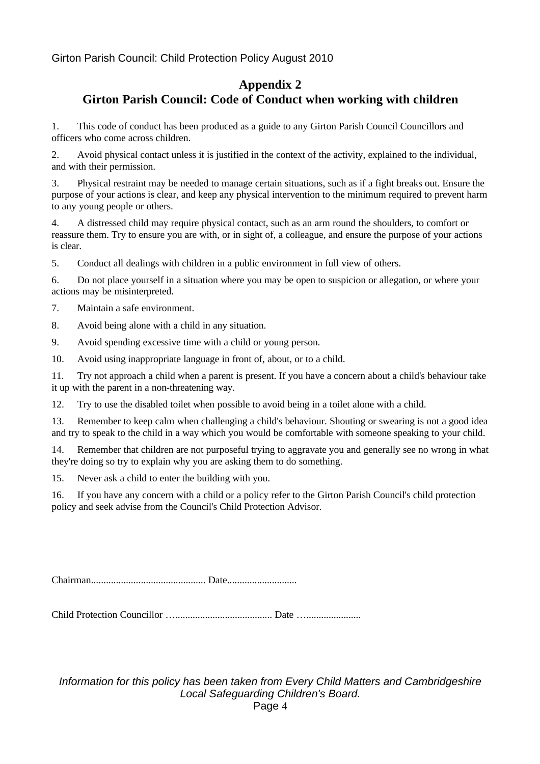# **Appendix 2 Girton Parish Council: Code of Conduct when working with children**

1. This code of conduct has been produced as a guide to any Girton Parish Council Councillors and officers who come across children.

2. Avoid physical contact unless it is justified in the context of the activity, explained to the individual, and with their permission.

3. Physical restraint may be needed to manage certain situations, such as if a fight breaks out. Ensure the purpose of your actions is clear, and keep any physical intervention to the minimum required to prevent harm to any young people or others.

4. A distressed child may require physical contact, such as an arm round the shoulders, to comfort or reassure them. Try to ensure you are with, or in sight of, a colleague, and ensure the purpose of your actions is clear.

5. Conduct all dealings with children in a public environment in full view of others.

6. Do not place yourself in a situation where you may be open to suspicion or allegation, or where your actions may be misinterpreted.

7. Maintain a safe environment.

8. Avoid being alone with a child in any situation.

9. Avoid spending excessive time with a child or young person.

10. Avoid using inappropriate language in front of, about, or to a child.

11. Try not approach a child when a parent is present. If you have a concern about a child's behaviour take it up with the parent in a non-threatening way.

12. Try to use the disabled toilet when possible to avoid being in a toilet alone with a child.

13. Remember to keep calm when challenging a child's behaviour. Shouting or swearing is not a good idea and try to speak to the child in a way which you would be comfortable with someone speaking to your child.

14. Remember that children are not purposeful trying to aggravate you and generally see no wrong in what they're doing so try to explain why you are asking them to do something.

15. Never ask a child to enter the building with you.

16. If you have any concern with a child or a policy refer to the Girton Parish Council's child protection policy and seek advise from the Council's Child Protection Advisor.

Chairman.............................................. Date............................

Child Protection Councillor …....................................... Date …......................

*Information for this policy has been taken from Every Child Matters and Cambridgeshire Local Safeguarding Children's Board.*

Page 4